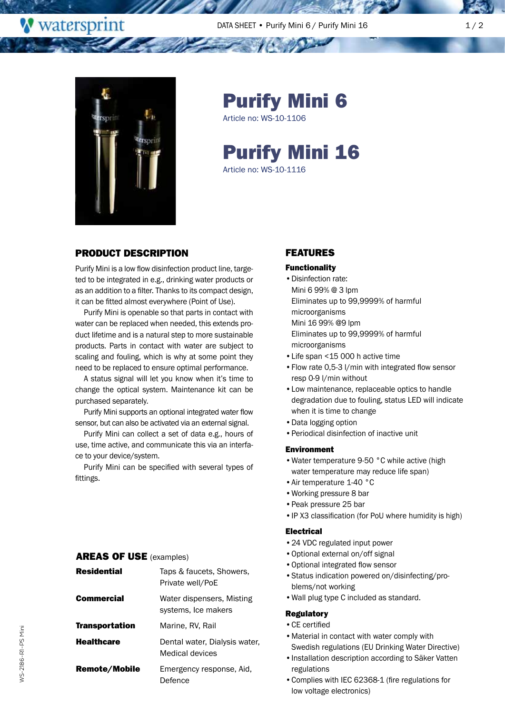DATA SHEET • Purify Mini 6 / Purify Mini 16 1 1 1 1 2



and the season

**W** watersprint

Purify Mini 6

Article no: WS-10-1106

# Purify Mini 16

Article no: WS-10-1116

## PRODUCT DESCRIPTION

Purify Mini is a low flow disinfection product line, targeted to be integrated in e.g., drinking water products or as an addition to a filter. Thanks to its compact design, it can be fitted almost everywhere (Point of Use).

Purify Mini is openable so that parts in contact with water can be replaced when needed, this extends product lifetime and is a natural step to more sustainable products. Parts in contact with water are subject to scaling and fouling, which is why at some point they need to be replaced to ensure optimal performance.

A status signal will let you know when it's time to change the optical system. Maintenance kit can be purchased separately.

Purify Mini supports an optional integrated water flow sensor, but can also be activated via an external signal.

Purify Mini can collect a set of data e.g., hours of use, time active, and communicate this via an interface to your device/system.

Purify Mini can be specified with several types of fittings.

### AREAS OF USE (examples)

| <b>Residential</b>    | Taps & faucets, Showers,<br>Private well/PoE     |
|-----------------------|--------------------------------------------------|
| Commercial            | Water dispensers, Misting<br>systems, Ice makers |
| <b>Transportation</b> | Marine, RV, Rail                                 |
| <b>Healthcare</b>     | Dental water, Dialysis water,<br>Medical devices |
| Remote/Mobile         | Emergency response, Aid,<br>Defence              |

## FEATURES

#### Functionality

- •Disinfection rate: Mini 6 99% @ 3 lpm Eliminates up to 99,9999% of harmful microorganisms Mini 16 99% @9 lpm Eliminates up to 99,9999% of harmful microorganisms
- •Life span <15 000 h active time
- •Flow rate 0,5-3 l/min with integrated flow sensor resp 0-9 l/min without
- •Low maintenance, replaceable optics to handle degradation due to fouling, status LED will indicate when it is time to change
- •Data logging option
- •Periodical disinfection of inactive unit

### Environment

- •Water temperature 9-50 °C while active (high water temperature may reduce life span)
- •Air temperature 1-40 °C
- •Working pressure 8 bar
- •Peak pressure 25 bar
- •IP X3 classification (for PoU where humidity is high)

### Electrical

- •24 VDC regulated input power
- •Optional external on/off signal
- •Optional integrated flow sensor
- •Status indication powered on/disinfecting/problems/not working
- •Wall plug type C included as standard.

### **Regulatory**

- •CE certified
- •Material in contact with water comply with Swedish regulations (EU Drinking Water Directive)
- •Installation description according to Säker Vatten regulations
- •Complies with IEC 62368-1 (fire regulations for low voltage electronics)